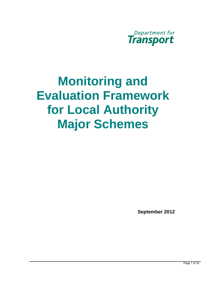

# **Major Schemes Monitoring and Evaluation Framework for Local Authority Major Schemes**<br>Figures Applement 2012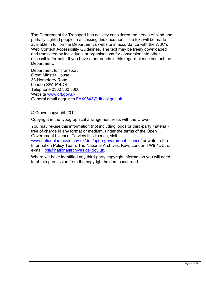The Department for Transport has actively considered the needs of blind and partially sighted people in accessing this document. The text will be made available in full on the Department's website in accordance with the W3C's Web Content Accessibility Guidelines. The text may be freely downloaded and translated by individuals or organisations for conversion into other accessible formats. If you have other needs in this regard please contact the Department.

Department for Transport Great Minster House 33 Horseferry Road London SW1P 4DR Telephone 0300 330 3000 Website www.dft.gov.uk General email enquiries **FAX9643@dft.gsi.gov.uk** 

© Crown copyright 2012

Copyright in the typographical arrangement rests with the Crown.

You may re-use this information (not including logos or third-party material) free of charge in any format or medium, under the terms of the Open Government Licence. To view this licence, visit

[www.nationalarchives.gov.uk/doc/open-government-licence/](http://www.nationalarchives.gov.uk/doc/open-government-licence/) or write to the Information Policy Team, The National Archives, Kew, London TW9 4DU, or e-mail: [psi@nationalarchives.gsi.gov.uk.](mailto:psi@nationalarchives.gsi.gov.uk)

Where we have identified any third-party copyright information you will need to obtain permission from the copyright holders concerned.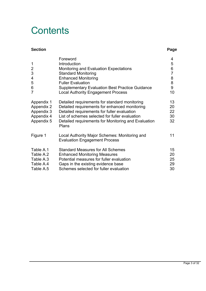## **Contents**

#### **Section Page 2018**

|                | Foreword                                                                              | 4  |
|----------------|---------------------------------------------------------------------------------------|----|
| $\mathbf 1$    | Introduction                                                                          | 5  |
| $\overline{2}$ | Monitoring and Evaluation Expectations                                                | 6  |
| $\mathfrak{S}$ | <b>Standard Monitoring</b>                                                            | 7  |
| 4              | <b>Enhanced Monitoring</b>                                                            | 8  |
| 5              | <b>Fuller Evaluation</b>                                                              | 8  |
| 6              | <b>Supplementary Evaluation Best Practice Guidance</b>                                | 9  |
| $\overline{7}$ | <b>Local Authority Engagement Process</b>                                             | 10 |
| Appendix 1     | Detailed requirements for standard monitoring                                         | 13 |
| Appendix 2     | Detailed requirements for enhanced monitoring                                         | 20 |
| Appendix 3     | Detailed requirements for fuller evaluation                                           | 22 |
| Appendix 4     | List of schemes selected for fuller evaluation                                        | 30 |
| Appendix 5     | Detailed requirements for Monitoring and Evaluation<br>Plans                          | 32 |
| Figure 1       | Local Authority Major Schemes: Monitoring and<br><b>Evaluation Engagement Process</b> | 11 |
| Table A.1      | <b>Standard Measures for All Schemes</b>                                              | 15 |
| Table A.2      | <b>Enhanced Monitoring Measures</b>                                                   | 20 |
| Table A.3      | Potential measures for fuller evaluation                                              | 25 |
| Table A.4      | Gaps in the existing evidence base                                                    | 29 |
| Table A.5      | Schemes selected for fuller evaluation                                                | 30 |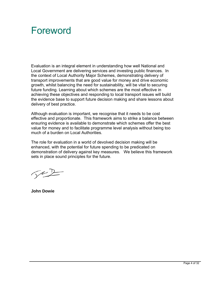## Foreword

Evaluation is an integral element in understanding how well National and Local Government are delivering services and investing public finances. In the context of Local Authority Major Schemes, demonstrating delivery of transport improvements that are good value for money and drive economic growth, whilst balancing the need for sustainability, will be vital to securing future funding. Learning about which schemes are the most effective in achieving these objectives and responding to local transport issues will build the evidence base to support future decision making and share lessons about delivery of best practice.

Although evaluation is important, we recognise that it needs to be cost effective and proportionate. This framework aims to strike a balance between ensuring evidence is available to demonstrate which schemes offer the best value for money and to facilitate programme level analysis without being too much of a burden on Local Authorities.

The role for evaluation in a world of devolved decision making will be enhanced, with the potential for future spending to be predicated on demonstration of delivery against key measures. We believe this framework sets in place sound principles for the future.

 $\sqrt{2}$ 

**John Dowie**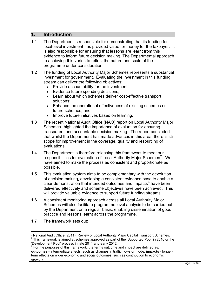#### **1. Introduction**

- 1.1 The Department is responsible for demonstrating that its funding for local-level investment has provided value for money for the taxpayer. It is also responsible for ensuring that lessons are learnt from this evidence to inform future decision making. The Departmental approach to achieving this varies to reflect the nature and scale of the programme under consideration.
- 1.2 The funding of Local Authority Major Schemes represents a substantial investment for government. Evaluating the investment in this funding stream can deliver the following objectives:
	- Provide accountability for the investment;
	- Evidence future spending decisions;
	- Learn about which schemes deliver cost-effective transport solutions;
	- Enhance the operational effectiveness of existing schemes or future schemes; and
	- Improve future initiatives based on learning.
- 1.3 The recent National Audit Office (NAO) report on Local Authority Major Schemes<sup>[1](#page-4-0)</sup> highlighted the importance of evaluation for ensuring transparent and accountable decision making. The report concluded that whilst the Department has made advances in this area, there is still scope for improvement in the coverage, quality and resourcing of evaluations.
- 1.4 The Department is therefore releasing this framework to meet our responsibilities for evaluation of Local Authority Major Schemes<sup>[2](#page-4-1)</sup>. We have aimed to make the process as consistent and proportionate as possible.
- 1.5 This evaluation system aims to be complementary with the devolution of decision making, developing a consistent evidence base to enable a clear demonstration that intended outcomes and impacts $3$  have been delivered effectively and scheme objectives have been achieved. This will provide valuable evidence to support future funding streams.
- 1.6 A consistent monitoring approach across all Local Authority Major Schemes will also facilitate programme level analysis to be carried out by the Department on a regular basis, enabling dissemination of good practice and lessons learnt across the programme.
- 1.7 The framework sets out:

<u>.</u>

<span id="page-4-1"></span><span id="page-4-0"></span><sup>&</sup>lt;sup>1</sup> National Audit Office (2011), Review of Local Authority Major Capital Transport Schemes.  $2$  This framework is aimed at schemes approved as part of the 'Supported Pool' in 2010 or the 'Development Pool' process in late 2011 and early 2012.

<span id="page-4-2"></span> $3$  For the purposes of this framework, the terms outcome and impact are defined as: **outcomes** - intermediate effects, such as changes in traffic flows or mode; **impacts** - longerterm effects on wider economic and social outcomes, such as contribution to economic growth).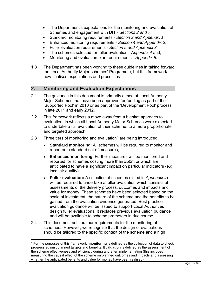- The Department's expectations for the monitoring and evaluation of Schemes and engagement with DfT - *Sections 2 and 7*;
- Standard monitoring requirements *Section 3 and Appendix 1;*
- Enhanced monitoring requirements *Section 4 and Appendix 2;*
- Fuller evaluation requirements *Section 5 and Appendix 3;*
- The schemes selected for fuller evaluation *Appendix 4* and,
- Monitoring and evaluation plan requirements *Appendix 5.*
- 1.8 The Department has been working to these guidelines in taking forward the Local Authority Major schemes' Programme, but this framework now finalises expectations and processes

#### **2. Monitoring and Evaluation Expectations**

- 2.1 The guidance in this document is primarily aimed at Local Authority Major Schemes that have been approved for funding as part of the 'Supported Pool' in 2010 or as part of the 'Development Pool' process in late 2011 and early 2012.
- 2.2 This framework reflects a move away from a blanket approach to evaluation, in which all Local Authority Major Schemes were expected to undertake a full evaluation of their scheme, to a more proportionate and targeted approach.
- 2.3 Three tiers of monitoring and evaluation<sup>[4](#page-5-0)</sup> are being introduced:
	- **Standard monitoring:** All schemes will be required to monitor and report on a standard set of measures;
	- **Enhanced monitoring**: Further measures will be monitored and reported for schemes costing more than £50m or which are anticipated to have a significant impact on particular indicators (e.g. local air quality);
	- and will be available to scheme promoters in due course. **Fuller evaluation:** A selection of schemes (listed in *Appendix 4*) will be required to undertake a fuller evaluation which consists of assessments of the delivery process, outcomes and impacts and value for money. These schemes have been selected based on the scale of investment, the nature of the scheme and the benefits to be gained from the evaluation evidence generated. Best practice evaluation guidance will be issued to support Local Authorities design fuller evaluations. It replaces previous evaluation guidance
- 2.4 This document sets out our requirements for the monitoring of schemes. However, we recognise that the design of evaluations should be tailored to the specific context of the scheme and a high

<span id="page-5-0"></span><sup>4</sup> For the purposes of this framework, **monitoring** is defined as the collection of data to check progress against planned targets and benefits. **Evaluation** is defined as the assessment of the scheme effectiveness and efficiency during and after implementation (this includes measuring the causal effect of the scheme on planned outcomes and impacts and assessing whether the anticipated benefits and value for money have been realised).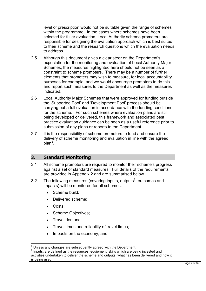level of prescription would not be suitable given the range of schemes within the programme. In the cases where schemes have been selected for fuller evaluation, Local Authority scheme promoters are responsible for designing the evaluation approach which is best suited to their scheme and the research questions which the evaluation needs to address.

- 2.5 Although this document gives a clear steer on the Department's expectation for the monitoring and evaluation of Local Authority Major Schemes, the measures highlighted here should not be seen as a constraint to scheme promoters. There may be a number of further elements that promoters may wish to measure, for local accountability purposes for example, and we would encourage promoters to do this and report such measures to the Department as well as the measures indicated.
- 2.6 Local Authority Major Schemes that were approved for funding outside the 'Supported Pool' and 'Development Pool' process should be carrying out a full evaluation in accordance with the funding conditions for the scheme. For such schemes where evaluation plans are still being developed or delivered, this framework and associated best practice evaluation guidance can be seen as a useful reference prior to submission of any plans or reports to the Department.
- 2.7 It is the responsibility of scheme promoters to fund and ensure the delivery of scheme monitoring and evaluation in line with the agreed plan<sup>[5](#page-6-0)</sup>.

#### **3. Standard Monitoring**

- 3.1 All scheme promoters are required to monitor their scheme's progress against a set of standard measures. Full details of the requirements are provided in Appendix 2 and are summarised below.
- 3.2 The following measures (covering inputs, outputs $6$ , outcomes and impacts) will be monitored for all schemes:
	- Scheme build:
	- Delivered scheme;
	- Costs;

- Scheme Objectives;
- Travel demand;
- Travel times and reliability of travel times;
- Impacts on the economy; and

<span id="page-6-0"></span><sup>&</sup>lt;sup>5</sup> Unless any changes are subsequently agreed with the Department.

<span id="page-6-1"></span> $6$  Inputs: are defined as the resources, equipment, skills which are being invested and activities undertaken to deliver the scheme and outputs: what has been delivered and how it is being used.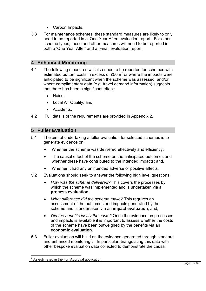- Carbon Impacts.
- 3.3 For maintenance schemes, these standard measures are likely to only need to be reported in a 'One Year After' evaluation report. For other scheme types, these and other measures will need to be reported in both a 'One Year After' and a 'Final' evaluation report.

#### **4 Enhanced Monitoring**

- 4.1 The following measures will also need to be reported for schemes with estimated outturn costs in excess of  $£50m<sup>7</sup>$  $£50m<sup>7</sup>$  $£50m<sup>7</sup>$  or where the impacts were anticipated to be significant when the scheme was assessed, and/or where complimentary data (e.g. travel demand information) suggests that there has been a significant effect:
	- Noise:
	- Local Air Quality; and,
	- Accidents.
- 4.2 Full details of the requirements are provided in Appendix 2.

#### **5 Fuller Evaluation**

- 5.1 The aim of undertaking a fuller evaluation for selected schemes is to generate evidence on:
	- Whether the scheme was delivered effectively and efficiently;
	- The causal effect of the scheme on the anticipated outcomes and whether these have contributed to the intended impacts; and,
	- Whether it had any unintended adverse or positive affects.
- 5.2 Evaluations should seek to answer the following high level questions:
	- $\bullet$  *How was the scheme delivered?* This covers the processes by which the scheme was implemented and is undertaken via a **process evaluation**;
	- *What difference did the scheme make?* This requires an assessment of the outcomes and impacts generated by the scheme and is undertaken via an **impact evaluation**; and,
	- $\bullet$  *Did the benefits justify the costs?* Once the evidence on processes and impacts is available it is important to assess whether the costs of the scheme have been outweighed by the benefits via an **economic evaluation**.
- <span id="page-7-1"></span>5.3 Fuller evaluation will build on the evidence generated through standard and enhanced monitoring<sup>[8](#page-7-1)</sup>. In particular, triangulating this data with other bespoke evaluation data collected to demonstrate the causal

<span id="page-7-0"></span> $<sup>7</sup>$  As estimated in the Full Approval application.</sup>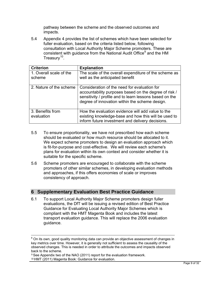pathway between the scheme and the observed outcomes and impacts.

5.4 Appendix 4 provides the list of schemes which have been selected for fuller evaluation, based on the criteria listed below, following consultation with Local Authority Major Scheme promoters. These are consistent with guidance from the National Audit Office<sup>[9](#page-8-0)</sup> and the HM Treasurv $10<sub>1</sub>$ .

| <b>Criterion</b>                  | <b>Explanation</b>                                                                                                                                                                                                 |
|-----------------------------------|--------------------------------------------------------------------------------------------------------------------------------------------------------------------------------------------------------------------|
| 1. Overall scale of the<br>scheme | The scale of the overall expenditure of the scheme as<br>well as the anticipated benefit                                                                                                                           |
| 2. Nature of the scheme           | Consideration of the need for evaluation for<br>accountability purposes based on the degree of risk /<br>sensitivity / profile and to learn lessons based on the<br>degree of innovation within the scheme design. |
| 3. Benefits from<br>evaluation    | How the evaluation evidence will add value to the<br>existing knowledge-base and how this will be used to<br>inform future investment and delivery decisions.                                                      |

- 5.5 To ensure proportionality, we have not prescribed how each scheme should be evaluated or how much resource should be allocated to it. We expect scheme promoters to design an evaluation approach which is fit-for-purpose and cost-effective. We will review each scheme's plans for evaluation within its own context and consider whether it is suitable for the specific scheme.
- 5.6 Scheme promoters are encouraged to collaborate with the scheme promoters of other similar schemes, in developing evaluation methods and approaches, if this offers economies of scale or improves consistency of approach.

#### **6 Supplementary Evaluation Best Practice Guidance**

6.1 To support Local Authority Major Scheme promoters design fuller evaluations, the DfT will be issuing a revised edition of Best Practice Guidance for Evaluating Local Authority Major Schemes which is compliant with the HMT Magenta Book and includes the latest transport evaluation guidance. This will replace the 2006 evaluation guidance.

<sup>&</sup>lt;sup>8</sup> On its own, good quality monitoring data can provide an objective assessment of changes in key metrics over time. However, it is generally not sufficient to assess the causality of the observed changes. This is needed in order to attribute the outcomes and impacts observed back to the scheme.

<sup>&</sup>lt;sup>9</sup> See Appendix two of the NAO (2011) report for the evaluation framework.

<span id="page-8-1"></span><span id="page-8-0"></span><sup>&</sup>lt;sup>10</sup> HMT (2011) Magenta Book: Guidance for evaluation.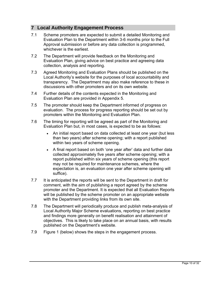#### **7 Local Authority Engagement Process**

- 7.1 Scheme promoters are expected to submit a detailed Monitoring and Evaluation Plan to the Department within 3-6 months prior to the Full Approval submission or before any data collection is programmed, whichever is the earliest.
- 7.2 The Department will provide feedback on the Monitoring and Evaluation Plan, giving advice on best practice and agreeing data collection, analysis and reporting.
- 7.3 Agreed Monitoring and Evaluation Plans should be published on the Local Authority's website for the purposes of local accountability and transparency. The Department may also make reference to these in discussions with other promoters and on its own website.
- 7.4 Further details of the contents expected in the Monitoring and Evaluation Plan are provided in Appendix 5.
- 7.5 The promoter should keep the Department informed of progress on evaluation. The process for progress reporting should be set out by promoters within the Monitoring and Evaluation Plan.
- 7.6 The timing for reporting will be agreed as part of the Monitoring and Evaluation Plan but, in most cases, is expected to be as follows:
	- An initial report based on data collected at least one year (but less than two years) after scheme opening; with a report published within two years of scheme opening.
	- A final report based on both 'one year after' data and further data collected approximately five years after scheme opening; with a report published within six years of scheme opening (this report may not be required for maintenance schemes, where the expectation is, an evaluation one year after scheme opening will suffice).
- 7.7 It is anticipated the reports will be sent to the Department in draft for comment, with the aim of publishing a report agreed by the scheme promoter and the Department. It is expected that all Evaluation Reports will be published by the scheme promoter on an appropriate website with the Department providing links from its own site.
- 7.8 The Department will periodically produce and publish meta-analysis of Local Authority Major Scheme evaluations, reporting on best practice and findings more generally on benefit realisation and attainment of objectives. This is likely to take place on an annual basis, with results published on the Department's website.
- 7.9 Figure 1 (below) shows the steps in the engagement process.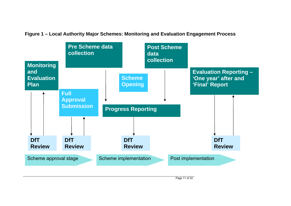**Monitoring and Evaluation Plan Full Approval Submission Evaluation Reporting – 'One year' after and 'Final' Report Pre Scheme data collection Post Scheme data collection Scheme Opening Progress Reporting DfT DfT DfT DfT Review Review Review Review** Scheme approval stage Scheme implementation Post implementation

**Figure 1 – Local Authority Major Schemes: Monitoring and Evaluation Engagement Process** 

Page 11 of 32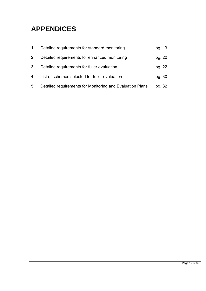## **APPENDICES**

| $\mathbf 1$ . | Detailed requirements for standard monitoring             | pg. 13 |
|---------------|-----------------------------------------------------------|--------|
| 2.            | Detailed requirements for enhanced monitoring             | pg. 20 |
| 3.            | Detailed requirements for fuller evaluation               | pg. 22 |
| 4.            | List of schemes selected for fuller evaluation            | pg. 30 |
| 5.            | Detailed requirements for Monitoring and Evaluation Plans | pg. 32 |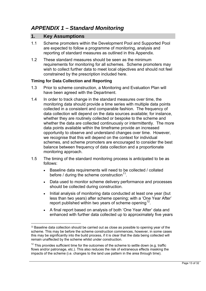#### *APPENDIX 1 – Standard Monitoring*

#### **1. Key Assumptions**

- 1.1 Scheme promoters within the Development Pool and Supported Pool are expected to follow a programme of monitoring, analysis and reporting of standard measures as outlined in this Appendix.
- 1.2 These standard measures should be seen as the minimum requirements for monitoring for all schemes. Scheme promoters may wish to collect further data to meet local objectives and should not feel constrained by the prescription included here.

#### **Timing for Data Collection and Reporting**

- 1.3 Prior to scheme construction, a Monitoring and Evaluation Plan will have been agreed with the Department.
- collected in a consistent and comparable fashion. The frequency of 1.4 In order to track change in the standard measures over time, the monitoring data should provide a time series with multiple data points data collection will depend on the data sources available; for instance, whether they are routinely collected or bespoke to the scheme and whether the data are collected continuously or intermittently. The more data points available within the timeframe provide an increased opportunity to observe and understand changes over time. However, we recognise that this will depend on the context for individual schemes, and scheme promoters are encouraged to consider the best balance between frequency of data collection and a proportionate monitoring approach.
- 1.5 The timing of the standard monitoring process is anticipated to be as follows:
	- Baseline data requirements will need to be collected / collated before / during the scheme construction<sup>[11](#page-12-0)</sup>.
	- Data used to monitor scheme delivery performance and processes should be collected during construction.
	- Initial analysis of monitoring data conducted at least one year (but less than two years) after scheme opening; with a 'One Year After' report published within two years of scheme opening<sup>12</sup>.
	- A final report based on analysis of both 'One Year After' data and enhanced with further data collected up to approximately five years

<span id="page-12-0"></span> $\overline{a}$ <sup>11</sup> Baseline data collection should be carried out as close as possible to opening year of the scheme. This may be before the scheme construction commences, however, in some cases this may be significantly into the build process, if it is clear that the data being collected will remain unaffected by the scheme whilst under construction.

<span id="page-12-1"></span> $12$  This provides sufficient time for the outcomes of the scheme to settle down (e.g. traffic flows and/or patronage, etc.). This also reduces the risk of extraneous effects masking the impacts of the scheme (i.e. changes to the land use pattern in the area through time).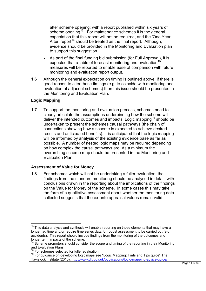after scheme opening; with a report published within six years of scheme opening<sup>[13](#page-13-0)</sup>. For maintenance schemes it is the general expectation that this report will not be required, and the 'One Year After' report<sup>14</sup> should be treated as the final report. Although, evidence should be provided in the Monitoring and Evaluation plan to support this suggestion.

- As part of the final funding bid submission (for Full Approval), it is expected that a table of forecast monitoring and evaluation<sup>1</sup> measures will be reported to enable ease of comparison with future monitoring and evaluation report output.
- 1.6 Although the general expectation on timing is outlined above, if there is good reason to alter these timings (e.g. to coincide with monitoring and evaluation of adjacent schemes) then this issue should be presented in the Monitoring and Evaluation Plan.

#### **Logic Mapping**

1.7 To support the monitoring and evaluation process, schemes need to clearly articulate the assumptions underpinning how the scheme will deliver the intended outcomes and impacts. Logic mapping<sup>[16](#page-13-3)</sup> should be undertaken to present the schemes causal pathways (the chain of connections showing how a scheme is expected to achieve desired results and anticipated benefits). It is anticipated that the logic mapping will be informed by analysis of the existing evidence base as far as possible. A number of nested logic maps may be required depending on how complex the causal pathways are. As a minimum the overarching scheme map should be presented in the Monitoring and Evaluation Plan.

#### **Assessment of Value for Money**

1.8 For schemes which will not be undertaking a fuller evaluation, the findings from the standard monitoring should be analysed in detail, with conclusions drawn in the reporting about the implications of the findings on the Value for Money of the scheme. In some cases this may take the form of a qualitative assessment about whether the monitoring data collected suggests that the ex-ante appraisal values remain valid.

<span id="page-13-0"></span> $\overline{a}$  $13$  This data analysis and synthesis will enable reporting on those elements that may have a longer lag time and/or require time series data for robust assessment to be carried out (e.g. accidents). This report should include findings from the monitoring of the outcomes and longer term impacts of the scheme.

<span id="page-13-1"></span> $14$  Scheme promoters should consider the scope and timing of the reporting in their Monitoring and Evaluation Plans. .

For schemes selected for fuller evaluation.

<span id="page-13-3"></span><span id="page-13-2"></span><sup>&</sup>lt;sup>16</sup> For guidance on developing logic maps see "Logic Mapping: Hints and Tips guide" The Tavistock Institute (2010). http://www.dft.gov.uk/publications/logic-mapping-advice-guide/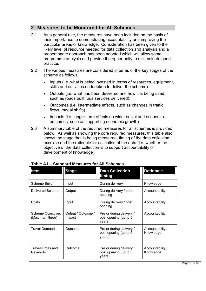#### **2 Measures to be Monitored for All Schemes**

- 2.1 As a general rule, the measures have been included on the basis of their importance to demonstrating accountability and improving the particular areas of knowledge. Consideration has been given to the likely level of resource needed for data collection and analysis and a proportionate approach has been adopted which will allow some programme analysis and provide the opportunity to disseminate good practice.
- 2.2 The various measures are considered in terms of the key stages of the scheme as follows:
	- Inputs (i.e. what is being invested in terms of resources, equipment, skills and activities undertaken to deliver the scheme).
	- Outputs (i.e. what has been delivered and how it is being used, such as roads built, bus services delivered).
	- Outcomes (i.e. intermediate effects, such as changes in traffic flows, modal shifts).
	- Impacts (i.e. longer-term effects on wider social and economic outcomes, such as supporting economic growth).
- 2.3 A summary table of the required measures for all schemes is provided below. As well as showing the core required measures, this table also shows the stage that is being measured, timing of the data collection exercise and the rationale for collection of the data (i.e. whether the objective of the data collection is to support accountability or development of knowledge).

| <b>Item</b>                                 | <b>Stage</b>                 | <b>Data Collection</b><br>timing                            | <b>Rationale</b>              |
|---------------------------------------------|------------------------------|-------------------------------------------------------------|-------------------------------|
| Scheme Build                                | Input                        | During delivery                                             | Knowledge                     |
| Delivered Scheme                            | Output                       | During delivery / post<br>opening                           | Accountability                |
| Costs                                       | Input                        | During delivery / post<br>opening                           | Accountability                |
| <b>Scheme Objectives</b><br>(Maximum three) | Output / Outcome /<br>Impact | Pre or during delivery /<br>post opening (up to 5<br>years) | Accountability                |
| <b>Travel Demand</b>                        | Outcome                      | Pre or during delivery /<br>post opening (up to 5<br>years) | Accountability /<br>Knowledge |
| Travel Times and<br>Reliability             | Outcome                      | Pre or during delivery /<br>post opening (up to 5<br>years) | Accountability /<br>Knowledge |

| Table A1 – Standard Measures for All Schemes |  |  |
|----------------------------------------------|--|--|
|----------------------------------------------|--|--|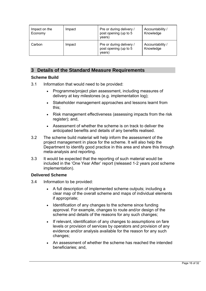| Impact on the<br>Economy | Impact | Pre or during delivery /<br>post opening (up to 5<br>years) | Accountability /<br>Knowledge |
|--------------------------|--------|-------------------------------------------------------------|-------------------------------|
| Carbon                   | Impact | Pre or during delivery /<br>post opening (up to 5<br>years) | Accountability /<br>Knowledge |

#### **3 Details of the Standard Measure Requirements**

#### **Scheme Build**

- 3.1 Information that would need to be provided:
	- Programme/project plan assessment, including measures of delivery at key milestones (e.g. implementation log);
	- Stakeholder management approaches and lessons learnt from this;
	- Risk management effectiveness (assessing impacts from the risk register); and,
	- Assessment of whether the scheme is on track to deliver the anticipated benefits and details of any benefits realised.
- 3.2 The scheme build material will help inform the assessment of the project management in place for the scheme. It will also help the Department to identify good practice in this area and share this through meta-analysis and reporting.
- 3.3 It would be expected that the reporting of such material would be included in the 'One Year After' report (released 1-2 years post scheme implementation).

#### **Delivered Scheme**

- 3.4 Information to be provided:
	- A full description of implemented scheme outputs; including a clear map of the overall scheme and maps of individual elements if appropriate;
	- Identification of any changes to the scheme since funding approval. For example, changes to route and/or design of the scheme and details of the reasons for any such changes;
	- If relevant, identification of any changes to assumptions on fare levels or provision of services by operators and provision of any evidence and/or analysis available for the reason for any such changes;
	- An assessment of whether the scheme has reached the intended beneficiaries; and,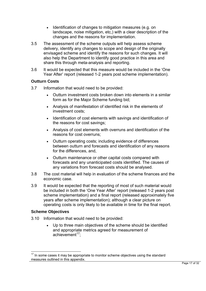- Identification of changes to mitigation measures (e.g. on landscape, noise mitigation, etc,) with a clear description of the changes and the reasons for implementation.
- 3.5 The assessment of the scheme outputs will help assess scheme delivery, identify any changes to scope and design of the originally envisaged scheme and identify the reasons for such changes. It will also help the Department to identify good practice in this area and share this through meta-analysis and reporting.
- 3.6 It would be expected that this measure would be included in the 'One Year After' report (released 1-2 years post scheme implementation).

#### **Outturn Costs**

- 3.7 Information that would need to be provided:
	- Outturn investment costs broken down into elements in a similar form as for the Major Scheme funding bid;
	- Analysis of manifestation of identified risk in the elements of investment costs;
	- Identification of cost elements with savings and identification of the reasons for cost savings;
	- Analysis of cost elements with overruns and identification of the reasons for cost overruns;
	- Outturn operating costs; including evidence of differences between outturn and forecasts and identification of any reasons for the differences, and,
	- Outturn maintenance or other capital costs compared with forecasts and any unanticipated costs identified. The causes of any variations from forecast costs should be analysed.
- economic case. 3.8 The cost material will help in evaluation of the scheme finances and the
- 3.9 It would be expected that the reporting of most of such material would be included in both the 'One Year After' report (released 1-2 years post scheme implementation) and a final report (released approximately five years after scheme implementation); although a clear picture on operating costs is only likely to be available in time for the final report.

#### **Scheme Objectives**

- 3.10 Information that would need to be provided:
	- Up to three main objectives of the scheme should be identified and appropriate metrics agreed for measurement of achievement $17$ ;

<span id="page-16-0"></span> $\overline{a}$  $17$  In some cases it may be appropriate to monitor scheme objectives using the standard measures outlined in this appendix.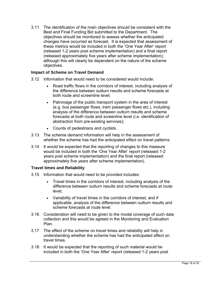3.11 The identification of the main objectives should be consistent with the Best and Final Funding Bid submitted to the Department. The objectives should be monitored to assess whether the anticipated changes have occurred as forecast. It is expected that assessment of these metrics would be included in both the 'One Year After' report (released 1-2 years post scheme implementation) and a final report (released approximately five years after scheme implementation); although this will clearly be dependent on the nature of the scheme objectives.

#### **Impact of Scheme on Travel Demand**

- 3.12 Information that would need to be considered would include:
	- Road traffic flows in the corridors of interest, including analysis of the difference between outturn results and scheme forecasts at both route and screenline level;
	- Patronage of the public transport system in the area of interest (e.g. bus passenger flows, tram passenger flows etc.), including analysis of the difference between outturn results and scheme forecasts at both route and screenline level (i.e. identification of abstraction from pre-existing services);
	- Counts of pedestrians and cyclists.
- 3.13 The scheme demand information will help in the assessment of whether the scheme has had the anticipated effect on travel patterns.
- 3.14 It would be expected that the reporting of changes to this measure would be included in both the 'One Year After' report (released 1-2 years post scheme implementation) and the final report (released approximately five years after scheme implementation).

#### **Travel times and Reliability**

- 3.15 Information that would need to be provided includes:
	- Travel times in the corridors of interest, including analysis of the difference between outturn results and scheme forecasts at route level;
	- Variability of travel times in the corridors of interest, and if applicable, analysis of the difference between outturn results and scheme forecasts at route level.
- 3.16 Consideration will need to be given to the modal coverage of such data collection and this would be agreed in the Monitoring and Evaluation Plan.
- 3.17 The effect of the scheme on travel times and reliability will help in understanding whether the scheme has had the anticipated affect on travel times.
- 3.18 It would be expected that the reporting of such material would be included in both the 'One Year After' report (released 1-2 years post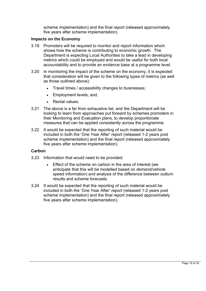scheme implementation) and the final report (released approximately five years after scheme implementation).

#### **Impacts on the Economy**

- 3.19 Promoters will be required to monitor and report information which shows how the scheme is contributing to economic growth. The Department is expecting Local Authorities to take a lead in developing metrics which could be employed and would be useful for both local accountability and to provide an evidence base at a programme level.
- 3.20 In monitoring the impact of the scheme on the economy, it is expected that consideration will be given to the following types of metrics (as well as those outlined above):
	- Travel times / accessibility changes to businesses;
	- Employment levels; and,
	- Rental values.
- 3.21 The above is a far from exhaustive list, and the Department will be looking to learn from approaches put forward by schemes promoters in their Monitoring and Evaluation plans, to develop proportionate measures that can be applied consistently across the programme.
- 3.22 It would be expected that the reporting of such material would be included in both the 'One Year After' report (released 1-2 years post scheme implementation) and the final report (released approximately five years after scheme implementation).

#### **Carbon**

- 3.23 Information that would need to be provided:
	- Effect of the scheme on carbon in the area of interest (we anticipate that this will be modelled based on demand/vehicle speed information) and analysis of the difference between outturn results and scheme forecasts.
- 3.24 It would be expected that the reporting of such material would be included in both the 'One Year After' report (released 1-2 years post scheme implementation) and the final report (released approximately five years after scheme implementation).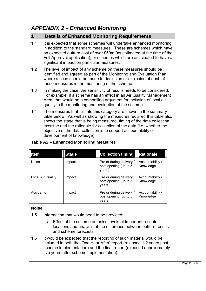#### *APPENDIX 2 – Enhanced Monitoring*

#### **1 Details of Enhanced Monitoring Requirements**

- 1.1 It is expected that some schemes will undertake enhanced monitoring in addition to the standard measures. These are schemes which have an expected outturn cost of over £50m (as estimated at the time of the Full Approval application), or schemes which are anticipated to have a significant impact on particular measures.
- 1.2 The level of impact of any scheme on these measures should be identified and agreed as part of the Monitoring and Evaluation Plan, where a case should be made for inclusion or exclusion of each of these measures in the monitoring of the scheme.
- 1.3 In making the case, the sensitivity of results needs to be considered. For example, if a scheme has an effect in an Air Quality Management Area, that would be a compelling argument for inclusion of local air quality in the monitoring and evaluation of the scheme.
- 1.4 The measures that fall into this category are shown in the summary table below. As well as showing the measures required this table also shows the stage that is being measured, timing of the data collection exercise and the rationale for collection of the data (i.e. whether the objective of the data collection is to support accountability or development of knowledge).

| <b>Item</b>       | <b>Stage</b> | <b>Collection timing</b>                                    | <b>Rationale</b>              |
|-------------------|--------------|-------------------------------------------------------------|-------------------------------|
| <b>Noise</b>      | Impact       | Pre or during delivery /<br>post opening (up to 5<br>years) | Accountability /<br>Knowledge |
| Local Air Quality | Impact       | Pre or during delivery /<br>post opening (up to 5<br>years) | Accountability /<br>Knowledge |
| Accidents         | Impact       | Pre or during delivery /<br>post opening (up to 5<br>years) | Accountability /<br>Knowledge |

#### **Table A2 – Enhanced Monitoring Measures**

#### **Noise**

- 1.5 Information that would need to be provided:
	- Effect of the scheme on noise levels at important receptor locations and analysis of the difference between outturn results and scheme forecasts.
- 1.6 It would be expected that the reporting of such material would be included in both the 'One Year After' report (released 1-2 years post scheme implementation) and the final report (released approximately five years after scheme implementation).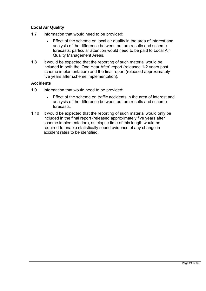#### **Local Air Quality**

- 1.7 Information that would need to be provided:
	- Effect of the scheme on local air quality in the area of interest and analysis of the difference between outturn results and scheme forecasts; particular attention would need to be paid to Local Air Quality Management Areas.
- 1.8 It would be expected that the reporting of such material would be included in both the 'One Year After' report (released 1-2 years post scheme implementation) and the final report (released approximately five years after scheme implementation).

#### **Accidents**

- 1.9 Information that would need to be provided:
	- Effect of the scheme on traffic accidents in the area of interest and analysis of the difference between outturn results and scheme forecasts.
- 1.10 It would be expected that the reporting of such material would only be included in the final report (released approximately five years after scheme implementation), as elapse time of this length would be required to enable statistically sound evidence of any change in accident rates to be identified.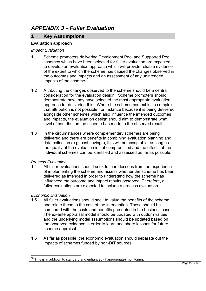#### *APPENDIX 3 – Fuller Evaluation*

#### **1 Key Assumptions**

#### **Evaluation approach**

#### *Impact Evaluation*

- 1.1 Scheme promoters delivering Development Pool and Supported Pool schemes which have been selected for fuller evaluation are expected to develop an evaluation approach which will provide reliable evidence of the extent to which the scheme has caused the changes observed in the outcomes and impacts and an assessment of any unintended impacts of the scheme<sup>[18](#page-21-0)</sup>.
- 1.2 Attributing the changes observed to the scheme should be a central consideration for the evaluation design. Scheme promoters should demonstrate how they have selected the most appropriate evaluation approach for delivering this. Where the scheme context is so complex that attribution is not possible, for instance because it is being delivered alongside other schemes which also influence the intended outcomes and impacts, the evaluation design should aim to demonstrate what level of contribution the scheme has made to the observed result.
- 1.3 In the circumstances where complementary schemes are being delivered and there are benefits in combining evaluation planning and data collection (e.g. cost savings), this will be acceptable, as long as the quality of the evaluation is not compromised and the effects of the individual schemes can be identified and assessed as far as possible.

#### *Process Evaluation*

1.4 All fuller evaluations should seek to learn lessons from the experience of implementing the scheme and assess whether the scheme has been delivered as intended in order to understand how the scheme has influenced the outcome and impact results observed. Therefore, all fuller evaluations are expected to include a process evaluation.

#### *Economic Evaluation*

- 1.5 All fuller evaluations should seek to value the benefits of the scheme and relate these to the cost of the intervention. These should be compared with the costs and benefits presented in the business case. The ex-ante appraisal model should be updated with outturn values and the underlying model assumptions should be updated based on the observed evidence in order to learn and share lessons for future scheme appraisal.
- 1.6 As far as possible, the economic evaluation should separate out the impacts of schemes funded by non-DfT sources.

<span id="page-21-0"></span> $\overline{a}$  $18$  This is in addition to standard and enhanced (if appropriate) monitoring.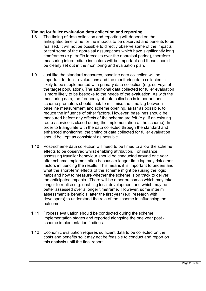#### **Timing for fuller evaluation data collection and reporting**

- 1.8 The timing of data collection and reporting will depend on the anticipated timeframe for the impacts to be observed and benefits to be realised. It will not be possible to directly observe some of the impacts or test some of the appraisal assumptions which have significantly long timeframes (e.g. traffic forecasts over the appraisal period), therefore measuring intermediate indicators will be important and these should be clearly set out in the monitoring and evaluation plan.
- 1.9 Just like the standard measures, baseline data collection will be important for fuller evaluations and the monitoring data collected is likely to be supplemented with primary data collection (e.g. surveys of the target population). The additional data collected for fuller evaluation is more likely to be bespoke to the needs of the evaluation. As with the monitoring data, the frequency of data collection is important and scheme promoters should seek to minimise the time lag between baseline measurement and scheme opening, as far as possible, to reduce the influence of other factors. However, baselines should be measured before any effects of the scheme are felt (e.g. if an existing route / service is closed during the implementation of the scheme). In order to triangulate with the data collected through the standard and enhanced monitoring, the timing of data collected for fuller evaluation should be kept as consistent as possible.
- 1.10 Post-scheme data collection will need to be timed to allow the scheme effects to be observed whilst enabling attribution. For instance, assessing traveller behaviour should be conducted around one year after scheme implementation because a longer time lag may risk other factors influencing the results. This means it is important to understand what the short-term effects of the scheme might be (using the logic map) and how to measure whether the scheme is on track to deliver the anticipated impacts. There will be other outcomes which may take longer to realise e.g. enabling local development and which may be better assessed over a longer timeframe. However, some interim assessment is beneficial after the first year (e.g. research with developers) to understand the role of the scheme in influencing the outcome.
- scheme implementation findings. 1.11 Process evaluation should be conducted during the scheme implementation stages and reported alongside the one year post -
- 1.12 Economic evaluation requires sufficient data to be collected on the costs and benefits so it may not be feasible to conduct and report on this analysis until the final report.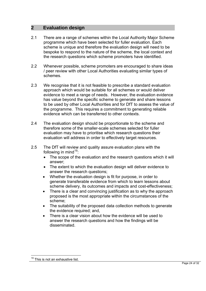#### **2 Evaluation design**

- 2.1 There are a range of schemes within the Local Authority Major Scheme programme which have been selected for fuller evaluation. Each scheme is unique and therefore the evaluation design will need to be bespoke to respond to the nature of the scheme, the local context and the research questions which scheme promoters have identified.
- 2.2 Whenever possible, scheme promoters are encouraged to share ideas / peer review with other Local Authorities evaluating similar types of schemes.
- 2.3 We recognise that it is not feasible to prescribe a standard evaluation approach which would be suitable for all schemes or would deliver evidence to meet a range of needs. However, the evaluation evidence has value beyond the specific scheme to generate and share lessons to be used by other Local Authorities and for DfT to assess the value of the programme. This requires a commitment to generating reliable evidence which can be transferred to other contexts.
- 2.4 The evaluation design should be proportionate to the scheme and therefore some of the smaller-scale schemes selected for fuller evaluation may have to prioritise which research questions their evaluation will address in order to effectively target resources.
- 2.5 The DfT will review and quality assure evaluation plans with the following in mind $19$ :
	- The scope of the evaluation and the research questions which it will answer;
	- The extent to which the evaluation design will deliver evidence to answer the research questions;
	- Whether the evaluation design is fit for purpose, in order to generate transferable evidence from which to learn lessons about scheme delivery, its outcomes and impacts and cost-effectiveness;
	- There is a clear and convincing justification as to why the approach proposed is the most appropriate within the circumstances of the scheme;
	- The suitability of the proposed data collection methods to generate the evidence required; and,
	- There is a clear vision about how the evidence will be used to answer the research questions and how the findings will be disseminated.

 $\overline{a}$ 

<span id="page-23-0"></span> $19$  This is not an exhaustive list.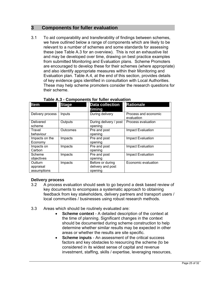#### **3 Components for fuller evaluation**

3.1 To aid comparability and transferability of findings between schemes, we have outlined below a range of components which are likely to be relevant to a number of schemes and some standards for assessing these (see Table A.3 for an overview). This is not an exhaustive list and may be developed over time, drawing on best practice examples from submitted Monitoring and Evaluation plans. Scheme Promoters are encouraged to develop these for their schemes (where appropriate) and also identify appropriate measures within their Monitoring and Evaluation plan. Table A.4, at the end of this section, provides details of key evidence gaps identified in consultation with Local Authorities. These may help scheme promoters consider the research questions for their scheme.

| <b>Item</b>                         | <b>Stage</b> | <b>Data collection</b><br>timing                 | <b>Rationale</b>                   |
|-------------------------------------|--------------|--------------------------------------------------|------------------------------------|
| Delivery process                    | Inputs       | During delivery                                  | Process and economic<br>evaluation |
| <b>Delivered</b><br>scheme          | Outputs      | During delivery / post<br>opening                | Process evaluation                 |
| Travel<br>behaviour                 | Outcomes     | Pre and post<br>opening                          | <b>Impact Evaluation</b>           |
| Impacts on the<br>Economy           | Impacts      | Pre and post<br>opening                          | Impact Evaluation                  |
| Impacts on<br>Carbon                | Impacts      | Pre and post<br>opening                          | Impact Evaluation                  |
| Scheme<br>objectives                | Impacts      | Pre and post<br>opening                          | Impact Evaluation                  |
| Outturn<br>appraisal<br>assumptions | Impacts      | Before or during<br>delivery and post<br>opening | Economic evaluation                |

#### **Table A.3 - Components for fuller evaluation**

#### **Delivery process**

- 3.2 A process evaluation should seek to go beyond a desk based review of key documents to encompass a systematic approach to obtaining feedback from key stakeholders, delivery partners and transport users / local communities / businesses using robust research methods.
- 3.3 Areas which should be routinely evaluated are:
	- **Scheme context** A detailed description of the context at the time of planning. Significant changes in the context should be documented during scheme construction to help determine whether similar results may be expected in other areas or whether the results are site specific.
	- **Scheme inputs** An assessment of the critical success factors and key obstacles to resourcing the scheme (to be considered in its widest sense of capital and revenue investment, staffing, skills / expertise, leveraging resources,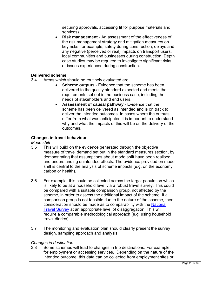securing approvals, accessing fit for purpose materials and services).

 **Risk management** - An assessment of the effectiveness of the risk management strategy and mitigation measures on key risks; for example, safety during construction, delays and any negative (perceived or real) impacts on transport users. local communities and businesses during construction. Depth case studies may be required to investigate significant risks or issues experienced during construction.

#### **Delivered scheme**

- 3.4 Areas which should be routinely evaluated are:
	- **Scheme outputs**  Evidence that the scheme has been delivered to the quality standard expected and meets the requirements set out in the business case, including the needs of stakeholders and end users.
	- **Assessment of causal pathway**  Evidence that the scheme has been delivered as intended and is on track to deliver the intended outcomes. In cases where the outputs differ from what was anticipated it is important to understand why and what the impacts of this will be on the delivery of the outcomes.

#### **Changes in travel behaviour**

#### *Mode shift*

- 3.5 This will build on the evidence generated through the objective measure of travel demand set out in the standard measures section, by demonstrating that assumptions about mode shift have been realised and understanding unintended effects. The evidence provided on mode shift is central to the analysis of scheme impacts (e.g. on the economy, carbon or health).
- 3.6 For example, this could be collected across the target population which is likely to be at a household level via a robust travel survey. This could be compared with a suitable comparison group, not affected by the scheme, in order to assess the additional impact of the scheme. If a comparison group is not feasible due to the nature of the scheme, then consideration should be made as to comparability with the [National](http://www.dft.gov.uk/statistics/series/national-travel-survey/)  [Travel Survey](http://www.dft.gov.uk/statistics/series/national-travel-survey/) at an appropriate level of disaggregation. This will require a comparable methodological approach (e.g. using household travel diaries).
- 3.7 The monitoring and evaluation plan should clearly present the survey design, sampling approach and analysis.

#### *Changes in destination*

3.8 Some schemes will lead to changes in trip destinations. For example, for employment or accessing services. Depending on the nature of the intended outcome, this data can be collected from employment sites or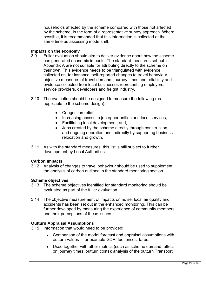households affected by the scheme compared with those not affected by the scheme, in the form of a representative survey approach. Where possible, it is recommended that this information is collected at the same time as assessing mode shift.

#### **Impacts on the economy**

- 3.9 Fuller evaluation should aim to deliver evidence about how the scheme has generated economic impacts. The standard measures set out in Appendix A are not suitable for attributing directly to the scheme on their own. This evidence needs to be triangulated with evidence collected on, for instance, self-reported changes to travel behaviour, objective measures of travel demand, journey times and reliability and evidence collected from local businesses representing employers, service providers, developers and freight industry.
- 3.10 The evaluation should be designed to measure the following (as applicable to the scheme design):
	- Congestion relief;
	- Increasing access to job opportunities and local services;
	- Facilitating local development; and,
	- Jobs created by the scheme directly through construction, and ongoing operation and indirectly by supporting business relocation and growth.
- 3.11 As with the standard measures, this list is still subject to further development by Local Authorities.

#### **Carbon Impacts**

3.12 Analysis of changes to travel behaviour should be used to supplement the analysis of carbon outlined in the standard monitoring section.

#### **Scheme objectives**

- 3.13 The scheme objectives identified for standard monitoring should be evaluated as part of the fuller evaluation.
- 3.14 The objective measurement of impacts on noise, local air quality and accidents has been set out in the enhanced monitoring. This can be further developed by measuring the experience of community members and their perceptions of these issues.

#### **Outturn Appraisal Assumptions**

- 3.15 Information that would need to be provided:
	- Comparison of the model forecast and appraisal assumptions with outturn values – for example GDP, fuel prices, fares.
	- Used together with other metrics (such as scheme demand, effect on journey times, outturn costs); analysis of the outturn Transport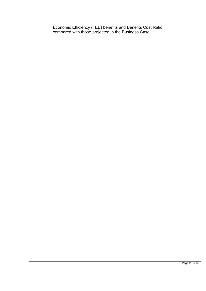Economic Efficiency (TEE) benefits and Benefits Cost Ratio compared with those projected in the Business Case.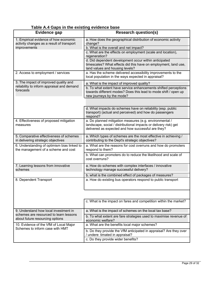| , , , , , , , ,<br><b>Evidence gap</b>                                             | <b>Research question(s)</b>                                                                                                                                                       |
|------------------------------------------------------------------------------------|-----------------------------------------------------------------------------------------------------------------------------------------------------------------------------------|
| 1. Empirical evidence of how economic<br>activity changes as a result of transport | a. How does the geographical distribution of economic activity<br>change?                                                                                                         |
| improvements                                                                       | b. What is the overall and net impact?                                                                                                                                            |
|                                                                                    | c. What are the effects on employment (scale and location),<br>regeneration?                                                                                                      |
|                                                                                    | d. Did dependent development occur within anticipated<br>timescales? What effects did this have on employment, land use,<br>land values and housing levels?                       |
| 2. Access to employment / services                                                 | a. Has the scheme delivered accessibility improvements to the<br>local population in the ways expected in appraisal?                                                              |
| 3. The impact of improved quality and                                              | a. What is the impact of improved quality?                                                                                                                                        |
| reliability to inform appraisal and demand<br>forecasts                            | b. To what extent have service enhancements shifted perceptions<br>towards different modes? Does this lead to mode shift / open up<br>new journeys by the mode?                   |
|                                                                                    |                                                                                                                                                                                   |
|                                                                                    | d. What impacts do schemes have on reliability (esp. public<br>transport) (actual and perceived) and how do passengers<br>respond?                                                |
| 4. Effectiveness of proposed mitigation<br>measures                                | a. Do planned mitigation measures (e.g. environmental /<br>landscape, social / distributional impacts or delivery risk) get<br>delivered as expected and how successful are they? |
| 5. Comparative effectiveness of schemes<br>in delivering strategic objectives      | a. Which types of schemes are the most effective in achieving /<br>contributing to the Dept's strategic objectives?                                                               |
| 6. Understanding of optimism bias linked to<br>the management of a scheme and cost | a. What are the reasons for cost overruns and how do promoters<br>respond to them?                                                                                                |
|                                                                                    | b. What can promoters do to reduce the likelihood and scale of<br>cost overruns?                                                                                                  |
| 7. Learning lessons from innovative<br>schemes                                     | a. How do schemes with complex interfaces / innovative<br>technology manage successful delivery?                                                                                  |
|                                                                                    | b. what is the combined effect of packages of measures?                                                                                                                           |
| 8. Dependent Transport                                                             | a. How do existing bus operators respond to public transport                                                                                                                      |
|                                                                                    |                                                                                                                                                                                   |
|                                                                                    | c. What is the impact on fares and competition within the market?                                                                                                                 |
| 9. Understand how local investment in                                              | a. What is the impact of schemes on the local tax base?                                                                                                                           |
| schemes are resourced to learn lessons<br>about future resourcing options          | b. To what extent are fare strategies used to maximise revenue of<br>economic welfare?                                                                                            |
| 10. Evidence of the VfM of Local Major<br>Schemes to inform case with HMT          | a. What are the benefits local major schemes?                                                                                                                                     |
|                                                                                    | b. Do they provide the VfM anticipated in appraisal? Are they over<br>/ undere timated in appraisal?                                                                              |
|                                                                                    | c. Do they provide wider benefits?                                                                                                                                                |

#### **Table A.4 Gaps in the existing evidence base**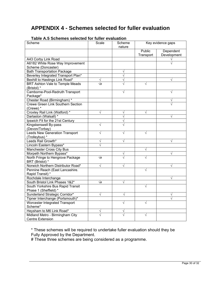#### **APPENDIX 4 - Schemes selected for fuller evaluation**

| <u>I able A.J Schemes selected for funer evaluation</u><br>Scheme | Scale       | Key evidence gaps<br>Scheme |           |             |
|-------------------------------------------------------------------|-------------|-----------------------------|-----------|-------------|
|                                                                   |             | nature                      |           |             |
|                                                                   |             |                             | Public    | Dependent   |
|                                                                   |             |                             | Transport | Development |
| A43 Corby Link Road                                               |             |                             |           |             |
| A6182 White Rose Way Improvement                                  |             |                             |           |             |
| Scheme (Doncaster)                                                |             |                             |           |             |
| <b>Bath Transportation Package</b>                                |             |                             |           |             |
| Beverley Integrated Transport Plan*                               |             |                             |           |             |
| Bexhill to Hastings Link Road*                                    |             | N                           |           |             |
| BRT Ashton Vale to Temple Meads                                   | $\sqrt{\#}$ |                             |           |             |
| (Bristol) *                                                       |             |                             |           |             |
| Camborne-Pool-Redruth Transport                                   |             | V                           |           | V           |
| Package*                                                          |             |                             |           |             |
| Chester Road (Birmingham)*                                        |             |                             |           |             |
| <b>Crewe Green Link Southern Section</b>                          |             |                             |           |             |
| (Crewe) *                                                         |             |                             |           |             |
| Croxley Rail Link (Watford) *                                     | V           | ٦                           |           |             |
| Darlaston (Walsall) *                                             |             | Ń                           |           |             |
| Ipswich Fit for the 21st Century                                  |             | ٦                           |           |             |
| Kingskerswell By-pass                                             |             |                             |           |             |
| (Devon/Torbay)                                                    |             |                             |           |             |
| Leeds New Generation Transport                                    | N           | V                           |           |             |
| (Trolleybus) *                                                    |             |                             |           |             |
| Leeds Rail Growth*                                                |             | V                           |           |             |
| Lincoln Eastern Bypass*                                           |             |                             |           |             |
| Manchester Cross City Bus                                         |             |                             |           |             |
| Morpeth Northern Bypass*                                          |             |                             |           |             |
| North Fringe to Hengrove Package                                  | $\sqrt{\#}$ |                             |           |             |
| BRT (Bristol) *                                                   |             |                             |           |             |
| Norwich Northern Distributor Road*                                |             | V                           |           |             |
| Pennine Reach (East Lancashire.                                   |             |                             |           |             |
| Rapid Transit) *                                                  |             |                             |           |             |
| Rochdale Interchange                                              |             |                             |           |             |
| South Bristol Link Phases 1&2*                                    | $\sqrt{t}$  | V                           |           |             |
| South Yorkshire Bus Rapid Transit                                 |             |                             |           |             |
| Phase 1 (Sheffield) *                                             |             |                             |           |             |
| Sunderland Strategic Corridor*                                    | ٧           | ٧                           |           |             |
| Tipner Interchange (Portsmouth)*                                  |             |                             |           |             |
| Worcester Integrated Transport                                    |             | V                           | V         |             |
| Scheme*                                                           |             |                             |           |             |
| Heysham to M6 Link Road*                                          | V           | V                           |           |             |
| Midland Metro - Birmingham City                                   | N           |                             | V         |             |
| <b>Centre Extension</b>                                           |             |                             |           |             |

**Table A.5 Schemes selected for fuller evaluation** 

\* These schemes will be required to undertake fuller evaluation should they be Fully Approved by the Department.

# These three schemes are being considered as a programme.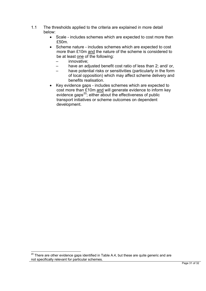- 1.1 The thresholds applied to the criteria are explained in more detail below:
	- Scale includes schemes which are expected to cost more than £50m.
	- Scheme nature includes schemes which are expected to cost more than £10m and the nature of the scheme is considered to be at least one of the following:
		- innovative;
		- have an adjusted benefit cost ratio of less than 2; and/ or,
		- have potential risks or sensitivities (particularly in the form of local opposition) which may affect scheme delivery and benefits realisation.
	- Key evidence gaps includes schemes which are expected to cost more than £10m and will generate evidence to inform key evidence gaps $^{20}$  $^{20}$  $^{20}$ ; either about the effectiveness of public transport initiatives or scheme outcomes on dependent development.

 $\overline{a}$ 

<span id="page-30-0"></span> $20$  There are other evidence gaps identified in Table A.4, but these are quite generic and are not specifically relevant for particular schemes.